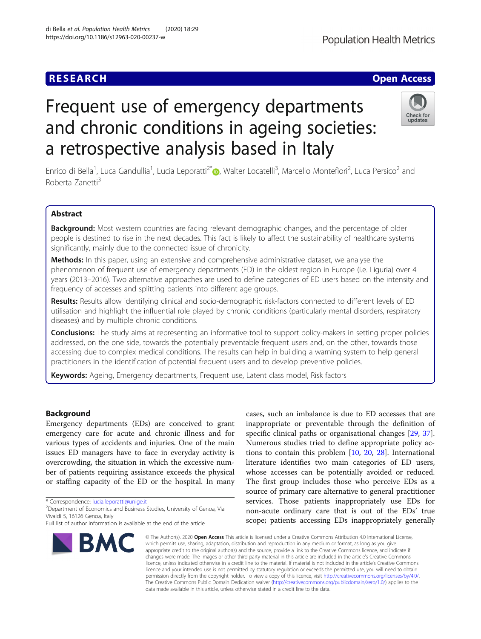### **RESEARCH CHE Open Access**

# Frequent use of emergency departments and chronic conditions in ageing societies: a retrospective analysis based in Italy

Enrico di Bella<sup>1</sup>[,](http://orcid.org/0000-0003-4186-908X) Luca Gandullia<sup>1</sup>, Lucia Leporatti<sup>2\*</sup>. Walter Locatelli<sup>3</sup>, Marcello Montefiori<sup>2</sup>, Luca Persico<sup>2</sup> and Roberta Zanetti3

#### Abstract

Background: Most western countries are facing relevant demographic changes, and the percentage of older people is destined to rise in the next decades. This fact is likely to affect the sustainability of healthcare systems significantly, mainly due to the connected issue of chronicity.

Methods: In this paper, using an extensive and comprehensive administrative dataset, we analyse the phenomenon of frequent use of emergency departments (ED) in the oldest region in Europe (i.e. Liguria) over 4 years (2013–2016). Two alternative approaches are used to define categories of ED users based on the intensity and frequency of accesses and splitting patients into different age groups.

Results: Results allow identifying clinical and socio-demographic risk-factors connected to different levels of ED utilisation and highlight the influential role played by chronic conditions (particularly mental disorders, respiratory diseases) and by multiple chronic conditions.

**Conclusions:** The study aims at representing an informative tool to support policy-makers in setting proper policies addressed, on the one side, towards the potentially preventable frequent users and, on the other, towards those accessing due to complex medical conditions. The results can help in building a warning system to help general practitioners in the identification of potential frequent users and to develop preventive policies.

Keywords: Ageing, Emergency departments, Frequent use, Latent class model, Risk factors

#### Background

Emergency departments (EDs) are conceived to grant emergency care for acute and chronic illness and for various types of accidents and injuries. One of the main issues ED managers have to face in everyday activity is overcrowding, the situation in which the excessive number of patients requiring assistance exceeds the physical or staffing capacity of the ED or the hospital. In many

\* Correspondence: [lucia.leporatti@unige.it](mailto:lucia.leporatti@unige.it) <sup>2</sup>

<sup>2</sup>Department of Economics and Business Studies, University of Genoa, Via Vivaldi 5, 16126 Genoa, Italy

## https://doi.org/10.1186/s12963-020-00237-w

di Bella et al. Population Health Metrics (2020) 18:29



cases, such an imbalance is due to ED accesses that are inappropriate or preventable through the definition of specific clinical paths or organisational changes [\[29,](#page-11-0) [37](#page-12-0)]. Numerous studies tried to define appropriate policy actions to contain this problem [[10,](#page-11-0) [20,](#page-11-0) [28](#page-11-0)]. International literature identifies two main categories of ED users, whose accesses can be potentially avoided or reduced. The first group includes those who perceive EDs as a source of primary care alternative to general practitioner services. Those patients inappropriately use EDs for non-acute ordinary care that is out of the EDs' true scope; patients accessing EDs inappropriately generally

© The Author(s), 2020 **Open Access** This article is licensed under a Creative Commons Attribution 4.0 International License, which permits use, sharing, adaptation, distribution and reproduction in any medium or format, as long as you give appropriate credit to the original author(s) and the source, provide a link to the Creative Commons licence, and indicate if changes were made. The images or other third party material in this article are included in the article's Creative Commons licence, unless indicated otherwise in a credit line to the material. If material is not included in the article's Creative Commons licence and your intended use is not permitted by statutory regulation or exceeds the permitted use, you will need to obtain permission directly from the copyright holder. To view a copy of this licence, visit [http://creativecommons.org/licenses/by/4.0/.](http://creativecommons.org/licenses/by/4.0/) The Creative Commons Public Domain Dedication waiver [\(http://creativecommons.org/publicdomain/zero/1.0/](http://creativecommons.org/publicdomain/zero/1.0/)) applies to the data made available in this article, unless otherwise stated in a credit line to the data.



Full list of author information is available at the end of the article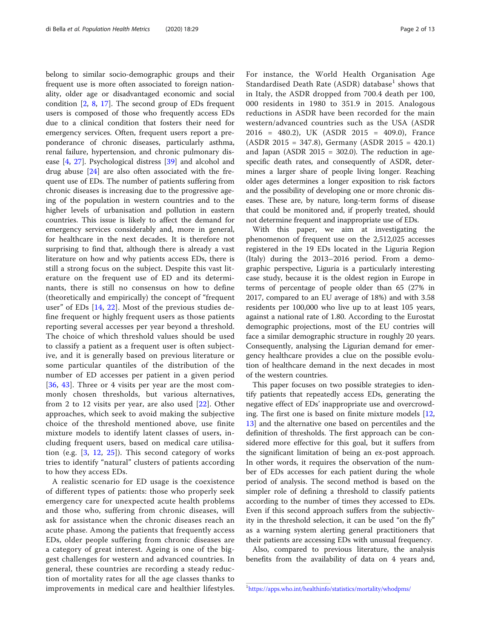belong to similar socio-demographic groups and their frequent use is more often associated to foreign nationality, older age or disadvantaged economic and social condition  $[2, 8, 17]$  $[2, 8, 17]$  $[2, 8, 17]$  $[2, 8, 17]$  $[2, 8, 17]$  $[2, 8, 17]$  $[2, 8, 17]$ . The second group of EDs frequent users is composed of those who frequently access EDs due to a clinical condition that fosters their need for emergency services. Often, frequent users report a preponderance of chronic diseases, particularly asthma, renal failure, hypertension, and chronic pulmonary disease [[4,](#page-11-0) [27](#page-11-0)]. Psychological distress [[39](#page-12-0)] and alcohol and drug abuse [[24](#page-11-0)] are also often associated with the frequent use of EDs. The number of patients suffering from chronic diseases is increasing due to the progressive ageing of the population in western countries and to the higher levels of urbanisation and pollution in eastern countries. This issue is likely to affect the demand for emergency services considerably and, more in general, for healthcare in the next decades. It is therefore not surprising to find that, although there is already a vast literature on how and why patients access EDs, there is still a strong focus on the subject. Despite this vast literature on the frequent use of ED and its determinants, there is still no consensus on how to define (theoretically and empirically) the concept of "frequent user" of EDs [[14,](#page-11-0) [22\]](#page-11-0). Most of the previous studies define frequent or highly frequent users as those patients reporting several accesses per year beyond a threshold. The choice of which threshold values should be used to classify a patient as a frequent user is often subjective, and it is generally based on previous literature or some particular quantiles of the distribution of the number of ED accesses per patient in a given period [[36](#page-12-0), [43](#page-12-0)]. Three or 4 visits per year are the most commonly chosen thresholds, but various alternatives, from 2 to 12 visits per year, are also used [[22](#page-11-0)]. Other approaches, which seek to avoid making the subjective choice of the threshold mentioned above, use finite mixture models to identify latent classes of users, including frequent users, based on medical care utilisation (e.g. [\[3](#page-11-0), [12](#page-11-0), [25](#page-11-0)]). This second category of works tries to identify "natural" clusters of patients according to how they access EDs.

A realistic scenario for ED usage is the coexistence of different types of patients: those who properly seek emergency care for unexpected acute health problems and those who, suffering from chronic diseases, will ask for assistance when the chronic diseases reach an acute phase. Among the patients that frequently access EDs, older people suffering from chronic diseases are a category of great interest. Ageing is one of the biggest challenges for western and advanced countries. In general, these countries are recording a steady reduction of mortality rates for all the age classes thanks to improvements in medical care and healthier lifestyles.

For instance, the World Health Organisation Age Standardised Death Rate (ASDR) database<sup>1</sup> shows that in Italy, the ASDR dropped from 700.4 death per 100, 000 residents in 1980 to 351.9 in 2015. Analogous reductions in ASDR have been recorded for the main western/advanced countries such as the USA (ASDR 2016 = 480.2), UK (ASDR 2015 = 409.0), France (ASDR 2015 = 347.8), Germany (ASDR 2015 = 420.1) and Japan (ASDR 2015 = 302.0). The reduction in agespecific death rates, and consequently of ASDR, determines a larger share of people living longer. Reaching older ages determines a longer exposition to risk factors and the possibility of developing one or more chronic diseases. These are, by nature, long-term forms of disease that could be monitored and, if properly treated, should not determine frequent and inappropriate use of EDs.

With this paper, we aim at investigating the phenomenon of frequent use on the 2,512,025 accesses registered in the 19 EDs located in the Liguria Region (Italy) during the 2013–2016 period. From a demographic perspective, Liguria is a particularly interesting case study, because it is the oldest region in Europe in terms of percentage of people older than 65 (27% in 2017, compared to an EU average of 18%) and with 3.58 residents per 100,000 who live up to at least 105 years, against a national rate of 1.80. According to the Eurostat demographic projections, most of the EU contries will face a similar demographic structure in roughly 20 years. Consequently, analysing the Ligurian demand for emergency healthcare provides a clue on the possible evolution of healthcare demand in the next decades in most of the western countries.

This paper focuses on two possible strategies to identify patients that repeatedly access EDs, generating the negative effect of EDs' inappropriate use and overcrowding. The first one is based on finite mixture models [[12](#page-11-0), [13\]](#page-11-0) and the alternative one based on percentiles and the definition of thresholds. The first approach can be considered more effective for this goal, but it suffers from the significant limitation of being an ex-post approach. In other words, it requires the observation of the number of EDs accesses for each patient during the whole period of analysis. The second method is based on the simpler role of defining a threshold to classify patients according to the number of times they accessed to EDs. Even if this second approach suffers from the subjectivity in the threshold selection, it can be used "on the fly" as a warning system alerting general practitioners that their patients are accessing EDs with unusual frequency.

Also, compared to previous literature, the analysis benefits from the availability of data on 4 years and,

<sup>1</sup> <https://apps.who.int/healthinfo/statistics/mortality/whodpms/>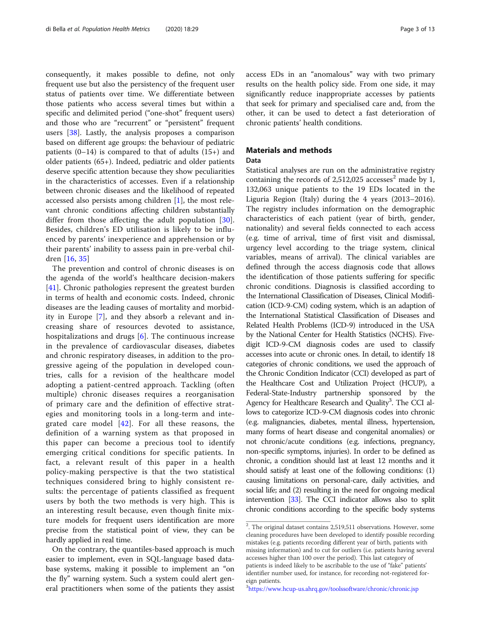consequently, it makes possible to define, not only frequent use but also the persistency of the frequent user status of patients over time. We differentiate between those patients who access several times but within a specific and delimited period ("one-shot" frequent users) and those who are "recurrent" or "persistent" frequent users [[38\]](#page-12-0). Lastly, the analysis proposes a comparison based on different age groups: the behaviour of pediatric patients  $(0-14)$  is compared to that of adults  $(15+)$  and older patients (65+). Indeed, pediatric and older patients deserve specific attention because they show peculiarities in the characteristics of accesses. Even if a relationship between chronic diseases and the likelihood of repeated accessed also persists among children [[1\]](#page-11-0), the most relevant chronic conditions affecting children substantially differ from those affecting the adult population [[30](#page-11-0)]. Besides, children's ED utilisation is likely to be influenced by parents' inexperience and apprehension or by their parents' inability to assess pain in pre-verbal children [\[16](#page-11-0), [35\]](#page-12-0)

The prevention and control of chronic diseases is on the agenda of the world's healthcare decision-makers [[41\]](#page-12-0). Chronic pathologies represent the greatest burden in terms of health and economic costs. Indeed, chronic diseases are the leading causes of mortality and morbidity in Europe [\[7](#page-11-0)], and they absorb a relevant and increasing share of resources devoted to assistance, hospitalizations and drugs [\[6](#page-11-0)]. The continuous increase in the prevalence of cardiovascular diseases, diabetes and chronic respiratory diseases, in addition to the progressive ageing of the population in developed countries, calls for a revision of the healthcare model adopting a patient-centred approach. Tackling (often multiple) chronic diseases requires a reorganisation of primary care and the definition of effective strategies and monitoring tools in a long-term and integrated care model [\[42\]](#page-12-0). For all these reasons, the definition of a warning system as that proposed in this paper can become a precious tool to identify emerging critical conditions for specific patients. In fact, a relevant result of this paper in a health policy-making perspective is that the two statistical techniques considered bring to highly consistent results: the percentage of patients classified as frequent users by both the two methods is very high. This is an interesting result because, even though finite mixture models for frequent users identification are more precise from the statistical point of view, they can be hardly applied in real time.

On the contrary, the quantiles-based approach is much easier to implement, even in SQL-language based database systems, making it possible to implement an "on the fly" warning system. Such a system could alert general practitioners when some of the patients they assist access EDs in an "anomalous" way with two primary results on the health policy side. From one side, it may significantly reduce inappropriate accesses by patients that seek for primary and specialised care and, from the other, it can be used to detect a fast deterioration of chronic patients' health conditions.

#### Materials and methods

#### Data

Statistical analyses are run on the administrative registry containing the records of  $2,512,025$  accesses<sup>2</sup> made by 1, 132,063 unique patients to the 19 EDs located in the Liguria Region (Italy) during the 4 years (2013–2016). The registry includes information on the demographic characteristics of each patient (year of birth, gender, nationality) and several fields connected to each access (e.g. time of arrival, time of first visit and dismissal, urgency level according to the triage system, clinical variables, means of arrival). The clinical variables are defined through the access diagnosis code that allows the identification of those patients suffering for specific chronic conditions. Diagnosis is classified according to the International Classification of Diseases, Clinical Modification (ICD-9-CM) coding system, which is an adaption of the International Statistical Classification of Diseases and Related Health Problems (ICD-9) introduced in the USA by the National Center for Health Statistics (NCHS). Fivedigit ICD-9-CM diagnosis codes are used to classify accesses into acute or chronic ones. In detail, to identify 18 categories of chronic conditions, we used the approach of the Chronic Condition Indicator (CCI) developed as part of the Healthcare Cost and Utilization Project (HCUP), a Federal-State-Industry partnership sponsored by the Agency for Healthcare Research and Quality<sup>3</sup>. The CCI allows to categorize ICD-9-CM diagnosis codes into chronic (e.g. malignancies, diabetes, mental illness, hypertension, many forms of heart disease and congenital anomalies) or not chronic/acute conditions (e.g. infections, pregnancy, non-specific symptoms, injuries). In order to be defined as chronic, a condition should last at least 12 months and it should satisfy at least one of the following conditions: (1) causing limitations on personal-care, daily activities, and social life; and (2) resulting in the need for ongoing medical intervention [\[33\]](#page-11-0). The CCI indicator allows also to split chronic conditions according to the specific body systems

<sup>2</sup> . The original dataset contains 2,519,511 observations. However, some cleaning procedures have been developed to identify possible recording mistakes (e.g. patients recording different year of birth, patients with missing information) and to cut for outliers (i.e. patients having several accesses higher than 100 over the period). This last category of patients is indeed likely to be ascribable to the use of "fake" patients' identifier number used, for instance, for recording not-registered foreign patients.

<sup>3</sup> <https://www.hcup-us.ahrq.gov/toolssoftware/chronic/chronic.jsp>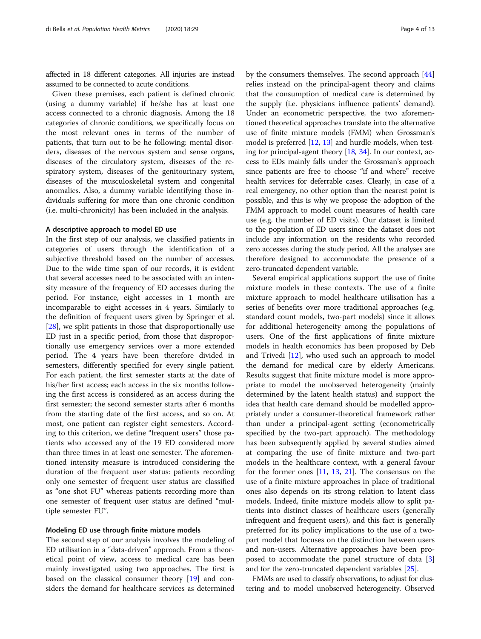affected in 18 different categories. All injuries are instead assumed to be connected to acute conditions.

Given these premises, each patient is defined chronic (using a dummy variable) if he/she has at least one access connected to a chronic diagnosis. Among the 18 categories of chronic conditions, we specifically focus on the most relevant ones in terms of the number of patients, that turn out to be he following: mental disorders, diseases of the nervous system and sense organs, diseases of the circulatory system, diseases of the respiratory system, diseases of the genitourinary system, diseases of the musculoskeletal system and congenital anomalies. Also, a dummy variable identifying those individuals suffering for more than one chronic condition (i.e. multi-chronicity) has been included in the analysis.

#### A descriptive approach to model ED use

In the first step of our analysis, we classified patients in categories of users through the identification of a subjective threshold based on the number of accesses. Due to the wide time span of our records, it is evident that several accesses need to be associated with an intensity measure of the frequency of ED accesses during the period. For instance, eight accesses in 1 month are incomparable to eight accesses in 4 years. Similarly to the definition of frequent users given by Springer et al. [[28\]](#page-11-0), we split patients in those that disproportionally use ED just in a specific period, from those that disproportionally use emergency services over a more extended period. The 4 years have been therefore divided in semesters, differently specified for every single patient. For each patient, the first semester starts at the date of his/her first access; each access in the six months following the first access is considered as an access during the first semester; the second semester starts after 6 months from the starting date of the first access, and so on. At most, one patient can register eight semesters. According to this criterion, we define "frequent users" those patients who accessed any of the 19 ED considered more than three times in at least one semester. The aforementioned intensity measure is introduced considering the duration of the frequent user status: patients recording only one semester of frequent user status are classified as "one shot FU" whereas patients recording more than one semester of frequent user status are defined "multiple semester FU".

#### Modeling ED use through finite mixture models

The second step of our analysis involves the modeling of ED utilisation in a "data-driven" approach. From a theoretical point of view, access to medical care has been mainly investigated using two approaches. The first is based on the classical consumer theory [\[19](#page-11-0)] and considers the demand for healthcare services as determined

by the consumers themselves. The second approach [[44](#page-12-0)] relies instead on the principal-agent theory and claims that the consumption of medical care is determined by the supply (i.e. physicians influence patients' demand). Under an econometric perspective, the two aforementioned theoretical approaches translate into the alternative use of finite mixture models (FMM) when Grossman's model is preferred [[12,](#page-11-0) [13](#page-11-0)] and hurdle models, when testing for principal-agent theory [\[18,](#page-11-0) [34](#page-12-0)]. In our context, access to EDs mainly falls under the Grossman's approach since patients are free to choose "if and where" receive health services for deferrable cases. Clearly, in case of a real emergency, no other option than the nearest point is possible, and this is why we propose the adoption of the FMM approach to model count measures of health care use (e.g. the number of ED visits). Our dataset is limited to the population of ED users since the dataset does not include any information on the residents who recorded zero accesses during the study period. All the analyses are therefore designed to accommodate the presence of a zero-truncated dependent variable.

Several empirical applications support the use of finite mixture models in these contexts. The use of a finite mixture approach to model healthcare utilisation has a series of benefits over more traditional approaches (e.g. standard count models, two-part models) since it allows for additional heterogeneity among the populations of users. One of the first applications of finite mixture models in health economics has been proposed by Deb and Trivedi  $[12]$ , who used such an approach to model the demand for medical care by elderly Americans. Results suggest that finite mixture model is more appropriate to model the unobserved heterogeneity (mainly determined by the latent health status) and support the idea that health care demand should be modelled appropriately under a consumer-theoretical framework rather than under a principal-agent setting (econometrically specified by the two-part approach). The methodology has been subsequently applied by several studies aimed at comparing the use of finite mixture and two-part models in the healthcare context, with a general favour for the former ones [[11,](#page-11-0) [13,](#page-11-0) [21](#page-11-0)]. The consensus on the use of a finite mixture approaches in place of traditional ones also depends on its strong relation to latent class models. Indeed, finite mixture models allow to split patients into distinct classes of healthcare users (generally infrequent and frequent users), and this fact is generally preferred for its policy implications to the use of a twopart model that focuses on the distinction between users and non-users. Alternative approaches have been proposed to accommodate the panel structure of data [\[3](#page-11-0)] and for the zero-truncated dependent variables [[25](#page-11-0)].

FMMs are used to classify observations, to adjust for clustering and to model unobserved heterogeneity. Observed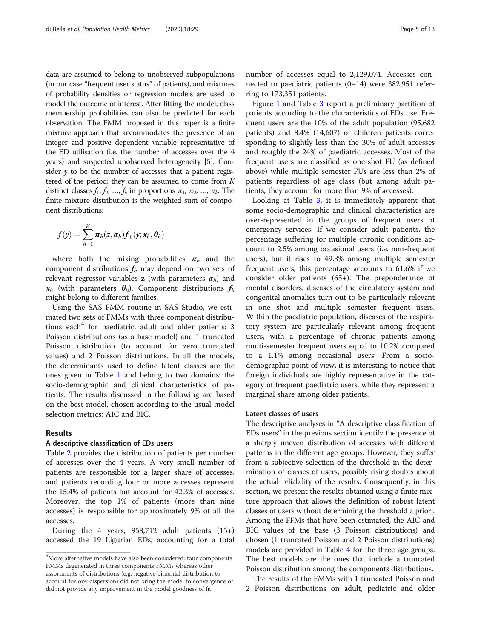data are assumed to belong to unobserved subpopulations (in our case "frequent user status" of patients), and mixtures of probability densities or regression models are used to model the outcome of interest. After fitting the model, class membership probabilities can also be predicted for each observation. The FMM proposed in this paper is a finite mixture approach that accommodates the presence of an integer and positive dependent variable representative of the ED utilisation (i.e. the number of accesses over the 4 years) and suspected unobserved heterogeneity [\[5\]](#page-11-0). Consider  $\gamma$  to be the number of accesses that a patient registered of the period; they can be assumed to come from  $K$ distinct classes  $f_1, f_2, ..., f_k$  in proportions  $\pi_1, \pi_2, ..., \pi_k$ . The finite mixture distribution is the weighted sum of component distributions:

$$
f(y) = \sum_{h=1}^K \pi_h(z, \alpha_h) f_h(y; x_h, \theta_h)
$$

where both the mixing probabilities  $\pi_h$  and the component distributions  $f_h$  may depend on two sets of relevant regressor variables **z** (with parameters  $\alpha_h$ ) and  $x_h$  (with parameters  $\theta_h$ ). Component distributions  $f_h$ might belong to different families.

Using the SAS FMM routine in SAS Studio, we estimated two sets of FMMs with three component distributions each $4$  for paediatric, adult and older patients: 3 Poisson distributions (as a base model) and 1 truncated Poisson distribution (to account for zero truncated values) and 2 Poisson distributions. In all the models, the determinants used to define latent classes are the ones given in Table [1](#page-5-0) and belong to two domains: the socio-demographic and clinical characteristics of patients. The results discussed in the following are based on the best model, chosen according to the usual model selection metrics: AIC and BIC.

#### Results

#### A descriptive classification of EDs users

Table [2](#page-5-0) provides the distribution of patients per number of accesses over the 4 years. A very small number of patients are responsible for a larger share of accesses, and patients recording four or more accesses represent the 15.4% of patients but account for 42.3% of accesses. Moreover, the top 1% of patients (more than nine accesses) is responsible for approximately 9% of all the accesses.

During the 4 years, 958,712 adult patients (15+) accessed the 19 Ligurian EDs, accounting for a total

number of accesses equal to 2,129,074. Accesses connected to paediatric patients (0–14) were 382,951 referring to 173,351 patients.

Figure [1](#page-6-0) and Table [3](#page-6-0) report a preliminary partition of patients according to the characteristics of EDs use. Frequent users are the 10% of the adult population (95,682 patients) and 8.4% (14,607) of children patients corresponding to slightly less than the 30% of adult accesses and roughly the 24% of paediatric accesses. Most of the frequent users are classified as one-shot FU (as defined above) while multiple semester FUs are less than 2% of patients regardless of age class (but among adult patients, they account for more than 9% of accesses).

Looking at Table [3,](#page-6-0) it is immediately apparent that some socio-demographic and clinical characteristics are over-represented in the groups of frequent users of emergency services. If we consider adult patients, the percentage suffering for multiple chronic conditions account to 2.5% among occasional users (i.e. non-frequent users), but it rises to 49.3% among multiple semester frequent users; this percentage accounts to 61.6% if we consider older patients (65+). The preponderance of mental disorders, diseases of the circulatory system and congenital anomalies turn out to be particularly relevant in one shot and multiple semester frequent users. Within the paediatric population, diseases of the respiratory system are particularly relevant among frequent users, with a percentage of chronic patients among multi-semester frequent users equal to 10.2% compared to a 1.1% among occasional users. From a sociodemographic point of view, it is interesting to notice that foreign individuals are highly representative in the category of frequent paediatric users, while they represent a marginal share among older patients.

#### Latent classes of users

The descriptive analyses in "A descriptive classification of EDs users" in the previous section identify the presence of a sharply uneven distribution of accesses with different patterns in the different age groups. However, they suffer from a subjective selection of the threshold in the determination of classes of users, possibly rising doubts about the actual reliability of the results. Consequently, in this section, we present the results obtained using a finite mixture approach that allows the definition of robust latent classes of users without determining the threshold a priori. Among the FFMs that have been estimated, the AIC and BIC values of the base (3 Poisson distributions) and chosen (1 truncated Poisson and 2 Poisson distributions) models are provided in Table [4](#page-7-0) for the three age groups. The best models are the ones that include a truncated Poisson distribution among the components distributions.

The results of the FMMs with 1 truncated Poisson and 2 Poisson distributions on adult, pediatric and older

<sup>&</sup>lt;sup>4</sup>More alternative models have also been considered: four components FMMs degenerated in three components FMMs whereas other assortments of distributions (e.g. negative binomial distribution to account for overdispersion) did not bring the model to convergence or did not provide any improvement in the model goodness of fit.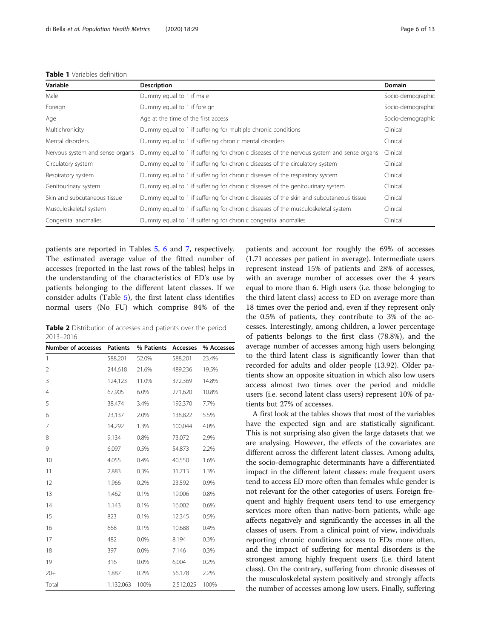<span id="page-5-0"></span>

| Variable                        | <b>Description</b>                                                                        | <b>Domain</b>     |
|---------------------------------|-------------------------------------------------------------------------------------------|-------------------|
| Male                            | Dummy equal to 1 if male                                                                  | Socio-demographic |
| Foreign                         | Dummy equal to 1 if foreign                                                               | Socio-demographic |
| Age                             | Age at the time of the first access                                                       | Socio-demographic |
| Multichronicity                 | Dummy equal to 1 if suffering for multiple chronic conditions                             | Clinical          |
| Mental disorders                | Dummy equal to 1 if suffering chronic mental disorders                                    | Clinical          |
| Nervous system and sense organs | Dummy equal to 1 if suffering for chronic diseases of the nervous system and sense organs | Clinical          |
| Circulatory system              | Dummy equal to 1 if suffering for chronic diseases of the circulatory system              | Clinical          |
| Respiratory system              | Dummy equal to 1 if suffering for chronic diseases of the respiratory system              | Clinical          |
| Genitourinary system            | Dummy equal to 1 if suffering for chronic diseases of the genitourinary system            | Clinical          |
| Skin and subcutaneous tissue    | Dummy equal to 1 if suffering for chronic diseases of the skin and subcutaneous tissue    | Clinical          |
| Musculoskeletal system          | Dummy equal to 1 if suffering for chronic diseases of the musculoskeletal system          | Clinical          |
| Congenital anomalies            | Dummy equal to 1 if suffering for chronic congenital anomalies                            | Clinical          |
|                                 |                                                                                           |                   |

patients are reported in Tables [5,](#page-8-0) [6](#page-8-0) and [7,](#page-9-0) respectively. The estimated average value of the fitted number of accesses (reported in the last rows of the tables) helps in the understanding of the characteristics of ED's use by patients belonging to the different latent classes. If we consider adults (Table [5](#page-8-0)), the first latent class identifies normal users (No FU) which comprise 84% of the

Table 2 Distribution of accesses and patients over the period 2013–2016

| Number of accesses | <b>Patients</b> | % Patients | Accesses  | % Accesses |
|--------------------|-----------------|------------|-----------|------------|
| $\mathbf{1}$       | 588,201         | 52.0%      | 588,201   | 23.4%      |
| $\overline{2}$     | 244,618         | 21.6%      | 489,236   | 19.5%      |
| 3                  | 124,123         | 11.0%      | 372,369   | 14.8%      |
| $\overline{4}$     | 67,905          | 6.0%       | 271,620   | 10.8%      |
| 5                  | 38,474          | 3.4%       | 192,370   | 7.7%       |
| 6                  | 23,137          | 2.0%       | 138,822   | 5.5%       |
| 7                  | 14,292          | 1.3%       | 100,044   | 4.0%       |
| 8                  | 9,134           | 0.8%       | 73,072    | 2.9%       |
| 9                  | 6,097           | 0.5%       | 54,873    | 2.2%       |
| 10                 | 4,055           | 0.4%       | 40,550    | 1.6%       |
| 11                 | 2,883           | 0.3%       | 31,713    | 1.3%       |
| 12                 | 1,966           | 0.2%       | 23,592    | 0.9%       |
| 13                 | 1,462           | 0.1%       | 19,006    | 0.8%       |
| 14                 | 1,143           | 0.1%       | 16,002    | 0.6%       |
| 15                 | 823             | 0.1%       | 12,345    | 0.5%       |
| 16                 | 668             | 0.1%       | 10,688    | 0.4%       |
| 17                 | 482             | 0.0%       | 8,194     | 0.3%       |
| 18                 | 397             | 0.0%       | 7,146     | 0.3%       |
| 19                 | 316             | 0.0%       | 6,004     | 0.2%       |
| $20+$              | 1,887           | 0.2%       | 56,178    | 2.2%       |
| Total              | 1,132,063       | 100%       | 2,512,025 | 100%       |

patients and account for roughly the 69% of accesses (1.71 accesses per patient in average). Intermediate users represent instead 15% of patients and 28% of accesses, with an average number of accesses over the 4 years equal to more than 6. High users (i.e. those belonging to the third latent class) access to ED on average more than 18 times over the period and, even if they represent only the 0.5% of patients, they contribute to 3% of the accesses. Interestingly, among children, a lower percentage of patients belongs to the first class (78.8%), and the average number of accesses among high users belonging to the third latent class is significantly lower than that recorded for adults and older people (13.92). Older patients show an opposite situation in which also low users access almost two times over the period and middle users (i.e. second latent class users) represent 10% of patients but 27% of accesses.

A first look at the tables shows that most of the variables have the expected sign and are statistically significant. This is not surprising also given the large datasets that we are analysing. However, the effects of the covariates are different across the different latent classes. Among adults, the socio-demographic determinants have a differentiated impact in the different latent classes: male frequent users tend to access ED more often than females while gender is not relevant for the other categories of users. Foreign frequent and highly frequent users tend to use emergency services more often than native-born patients, while age affects negatively and significantly the accesses in all the classes of users. From a clinical point of view, individuals reporting chronic conditions access to EDs more often, and the impact of suffering for mental disorders is the strongest among highly frequent users (i.e. third latent class). On the contrary, suffering from chronic diseases of the musculoskeletal system positively and strongly affects the number of accesses among low users. Finally, suffering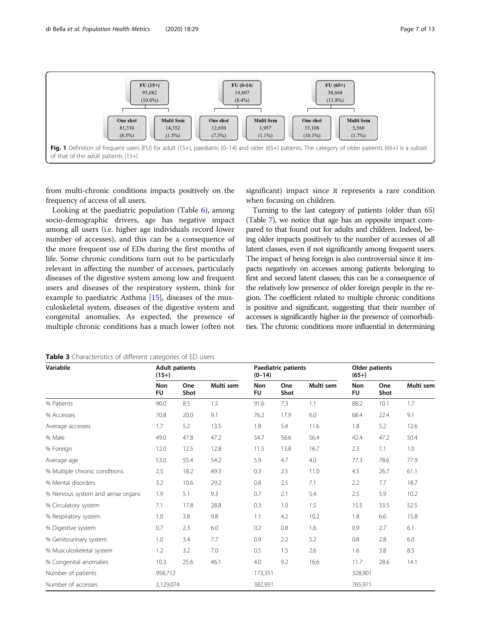<span id="page-6-0"></span>di Bella et al. Population Health Metrics (2020) 18:29 Page 7 of 13



from multi-chronic conditions impacts positively on the frequency of access of all users.

Looking at the paediatric population (Table [6](#page-8-0)), among socio-demographic drivers, age has negative impact among all users (i.e. higher age individuals record lower number of accesses), and this can be a consequence of the more frequent use of EDs during the first months of life. Some chronic conditions turn out to be particularly relevant in affecting the number of accesses, particularly diseases of the digestive system among low and frequent users and diseases of the respiratory system, think for example to paediatric Asthma [[15](#page-11-0)], diseases of the musculoskeletal system, diseases of the digestive system and congenital anomalies. As expected, the presence of multiple chronic conditions has a much lower (often not

significant) impact since it represents a rare condition when focusing on children.

Turning to the last category of patients (older than 65) (Table [7\)](#page-9-0), we notice that age has an opposite impact compared to that found out for adults and children. Indeed, being older impacts positively to the number of accesses of all latent classes, even if not significantly among frequent users. The impact of being foreign is also controversial since it impacts negatively on accesses among patients belonging to first and second latent classes; this can be a consequence of the relatively low presence of older foreign people in the region. The coefficient related to multiple chronic conditions is positive and significant, suggesting that their number of accesses is significantly higher in the presence of comorbidities. The chronic conditions more influential in determining

| Variabile                         | $(15+)$                 | <b>Adult patients</b> |           |                         | Paediatric patients<br>$(0-14)$ |           |                         | Older patients<br>$(65+)$ |           |  |
|-----------------------------------|-------------------------|-----------------------|-----------|-------------------------|---------------------------------|-----------|-------------------------|---------------------------|-----------|--|
|                                   | <b>Non</b><br><b>FU</b> | One<br>Shot           | Multi sem | <b>Non</b><br><b>FU</b> | One<br>Shot                     | Multi sem | <b>Non</b><br><b>FU</b> | One<br>Shot               | Multi sem |  |
| % Patients                        | 90.0                    | 8.5                   | 1.5       | 91.6                    | 7.3                             | 1.1       | 88.2                    | 10.1                      | 1.7       |  |
| % Accesses                        | 70.8                    | 20.0                  | 9.1       | 76.2                    | 17.9                            | 6.0       | 68.4                    | 22.4                      | 9.1       |  |
| Average accesses                  | 1.7                     | 5.2                   | 13.5      | 1.8                     | 5.4                             | 11.6      | 1.8                     | 5.2                       | 12.6      |  |
| % Male                            | 49.0                    | 47.8                  | 47.2      | 54.7                    | 56.6                            | 56.4      | 42.4                    | 47.2                      | 50.4      |  |
| % Foreign                         | 12.0                    | 12.5                  | 12.8      | 11.5                    | 13.8                            | 16.7      | 2.3                     | 1.1                       | 1.0       |  |
| Average age                       | 53.0                    | 55.4                  | 54.2      | 5.9                     | 4.7                             | 4.0       | 77.3                    | 78.6                      | 77.9      |  |
| % Multiple chronic conditions     | 2.5                     | 18.2                  | 49.3      | 0.3                     | 2.5                             | 11.0      | 4.5                     | 26.7                      | 61.1      |  |
| % Mental disorders                | 3.2                     | 10.6                  | 29.2      | 0.8                     | 2.5                             | 7.1       | 2.2                     | 7.7                       | 18.7      |  |
| % Nervous system and sense organs | 1.9                     | 5.1                   | 9.3       | 0.7                     | 2.1                             | 5.4       | 2.5                     | 5.9                       | 10.2      |  |
| % Circulatory system              | 7.1                     | 17.8                  | 28.8      | 0.3                     | 1.0                             | 1.5       | 15.5                    | 33.5                      | 52.5      |  |
| % Respiratory system              | 1.0                     | 3.8                   | 9.8       | 1.1                     | 4.2                             | 10.2      | 1.8                     | 6.6                       | 15.8      |  |
| % Digestive system                | 0.7                     | 2.3                   | 6.0       | 0.2                     | 0.8                             | 1.6       | 0.9                     | 2.7                       | 6.1       |  |
| % Genitourinary system            | 1.0                     | 3.4                   | 7.7       | 0.9                     | 2.2                             | 5.2       | 0.8                     | 2.8                       | 6.0       |  |
| % Musculoskeletal system          | 1.2                     | 3.2                   | 7.0       | 0.5                     | 1.5                             | 2.6       | 1.6                     | 3.8                       | 8.5       |  |
| % Congenital anomalies            | 10.3                    | 25.6                  | 46.1      | 4.0                     | 9.2                             | 16.6      | 11.7                    | 28.6                      | 14.1      |  |
| Number of patients                | 958,712                 |                       |           | 173,351                 |                                 |           | 328,901                 |                           |           |  |
| Number of accesses                | 2,129,074               |                       |           | 382,951                 |                                 |           | 765,971                 |                           |           |  |

Table 3 Characteristics of different categories of ED users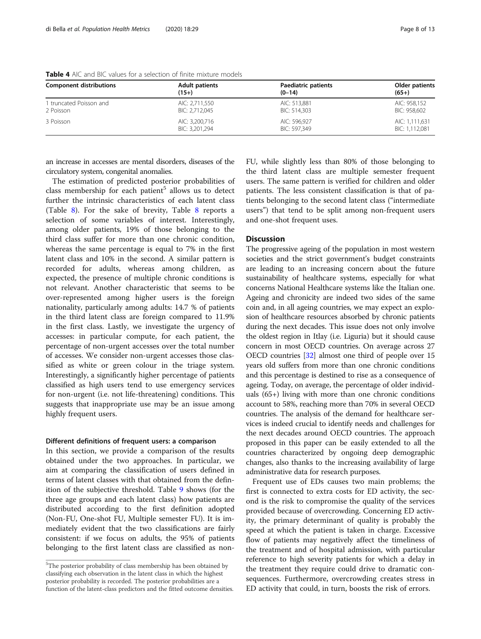| <b>Component distributions</b> | <b>Adult patients</b> | <b>Paediatric patients</b> | Older patients |
|--------------------------------|-----------------------|----------------------------|----------------|
|                                | $(15+)$               | $(0-14)$                   | $(65+)$        |
| 1 truncated Poisson and        | AIC: 2,711,550        | AIC: 513,881               | AIC: 958,152   |
| 2 Poisson                      | BIC: 2,712,045        | BIC: 514,303               | BIC: 958,602   |
| 3 Poisson                      | AIC: 3,200,716        | AIC: 596,927               | AIC: 1,111,631 |
|                                | BIC: 3.201.294        | BIC: 597.349               | BIC: 1,112,081 |

<span id="page-7-0"></span>Table 4 AIC and BIC values for a selection of finite mixture models

an increase in accesses are mental disorders, diseases of the circulatory system, congenital anomalies.

The estimation of predicted posterior probabilities of class membership for each patient<sup>5</sup> allows us to detect further the intrinsic characteristics of each latent class (Table [8](#page-9-0)). For the sake of brevity, Table [8](#page-9-0) reports a selection of some variables of interest. Interestingly, among older patients, 19% of those belonging to the third class suffer for more than one chronic condition, whereas the same percentage is equal to 7% in the first latent class and 10% in the second. A similar pattern is recorded for adults, whereas among children, as expected, the presence of multiple chronic conditions is not relevant. Another characteristic that seems to be over-represented among higher users is the foreign nationality, particularly among adults: 14.7 % of patients in the third latent class are foreign compared to 11.9% in the first class. Lastly, we investigate the urgency of accesses: in particular compute, for each patient, the percentage of non-urgent accesses over the total number of accesses. We consider non-urgent accesses those classified as white or green colour in the triage system. Interestingly, a significantly higher percentage of patients classified as high users tend to use emergency services for non-urgent (i.e. not life-threatening) conditions. This suggests that inappropriate use may be an issue among highly frequent users.

#### Different definitions of frequent users: a comparison

In this section, we provide a comparison of the results obtained under the two approaches. In particular, we aim at comparing the classification of users defined in terms of latent classes with that obtained from the definition of the subjective threshold. Table [9](#page-10-0) shows (for the three age groups and each latent class) how patients are distributed according to the first definition adopted (Non-FU, One-shot FU, Multiple semester FU). It is immediately evident that the two classifications are fairly consistent: if we focus on adults, the 95% of patients belonging to the first latent class are classified as non-

FU, while slightly less than 80% of those belonging to the third latent class are multiple semester frequent users. The same pattern is verified for children and older patients. The less consistent classification is that of patients belonging to the second latent class ("intermediate users") that tend to be split among non-frequent users and one-shot frequent uses.

#### **Discussion**

The progressive ageing of the population in most western societies and the strict government's budget constraints are leading to an increasing concern about the future sustainability of healthcare systems, especially for what concerns National Healthcare systems like the Italian one. Ageing and chronicity are indeed two sides of the same coin and, in all ageing countries, we may expect an explosion of healthcare resources absorbed by chronic patients during the next decades. This issue does not only involve the oldest region in Itlay (i.e. Liguria) but it should cause concern in most OECD countries. On average across 27 OECD countries [[32](#page-11-0)] almost one third of people over 15 years old suffers from more than one chronic conditions and this percentage is destined to rise as a consequence of ageing. Today, on average, the percentage of older individuals (65+) living with more than one chronic conditions account to 58%, reaching more than 70% in several OECD countries. The analysis of the demand for healthcare services is indeed crucial to identify needs and challenges for the next decades around OECD countries. The approach proposed in this paper can be easily extended to all the countries characterized by ongoing deep demographic changes, also thanks to the increasing availability of large administrative data for research purposes.

Frequent use of EDs causes two main problems; the first is connected to extra costs for ED activity, the second is the risk to compromise the quality of the services provided because of overcrowding. Concerning ED activity, the primary determinant of quality is probably the speed at which the patient is taken in charge. Excessive flow of patients may negatively affect the timeliness of the treatment and of hospital admission, with particular reference to high severity patients for which a delay in the treatment they require could drive to dramatic consequences. Furthermore, overcrowding creates stress in ED activity that could, in turn, boosts the risk of errors.

<sup>&</sup>lt;sup>5</sup>The posterior probability of class membership has been obtained by classifying each observation in the latent class in which the highest posterior probability is recorded. The posterior probabilities are a function of the latent-class predictors and the fitted outcome densities.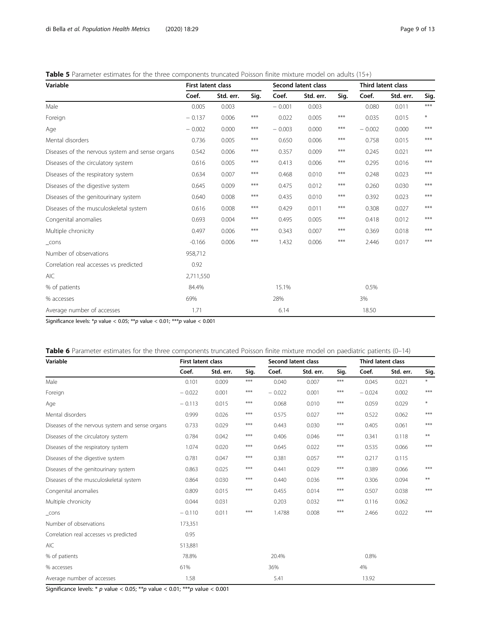<span id="page-8-0"></span>

| Table 5 Parameter estimates for the three components truncated Poisson finite mixture model on adults (15+) |  |
|-------------------------------------------------------------------------------------------------------------|--|
|-------------------------------------------------------------------------------------------------------------|--|

| Variable                                        | <b>First latent class</b> |           |       | <b>Second latent class</b> |           |       | <b>Third latent class</b> |           |       |
|-------------------------------------------------|---------------------------|-----------|-------|----------------------------|-----------|-------|---------------------------|-----------|-------|
|                                                 | Coef.                     | Std. err. | Sig.  | Coef.                      | Std. err. | Sig.  | Coef.                     | Std. err. | Sig.  |
| Male                                            | 0.005                     | 0.003     |       | $-0.001$                   | 0.003     |       | 0.080                     | 0.011     | ***   |
| Foreign                                         | $-0.137$                  | 0.006     | $***$ | 0.022                      | 0.005     | $***$ | 0.035                     | 0.015     | ¥     |
| Age                                             | $-0.002$                  | 0.000     | $***$ | $-0.003$                   | 0.000     | $***$ | $-0.002$                  | 0.000     | ***   |
| Mental disorders                                | 0.736                     | 0.005     | $***$ | 0.650                      | 0.006     | $***$ | 0.758                     | 0.015     | ***   |
| Diseases of the nervous system and sense organs | 0.542                     | 0.006     | $***$ | 0.357                      | 0.009     | $***$ | 0.245                     | 0.021     | ***   |
| Diseases of the circulatory system              | 0.616                     | 0.005     | $***$ | 0.413                      | 0.006     | $***$ | 0.295                     | 0.016     | $***$ |
| Diseases of the respiratory system              | 0.634                     | 0.007     | $***$ | 0.468                      | 0.010     | $***$ | 0.248                     | 0.023     | ***   |
| Diseases of the digestive system                | 0.645                     | 0.009     | $***$ | 0.475                      | 0.012     | $***$ | 0.260                     | 0.030     | ***   |
| Diseases of the genitourinary system            | 0.640                     | 0.008     | ***   | 0.435                      | 0.010     | $***$ | 0.392                     | 0.023     | ***   |
| Diseases of the musculoskeletal system          | 0.616                     | 0.008     | $***$ | 0.429                      | 0.011     | $***$ | 0.308                     | 0.027     | ***   |
| Congenital anomalies                            | 0.693                     | 0.004     | $***$ | 0.495                      | 0.005     | $***$ | 0.418                     | 0.012     | ***   |
| Multiple chronicity                             | 0.497                     | 0.006     | $***$ | 0.343                      | 0.007     | $***$ | 0.369                     | 0.018     | ***   |
| $_{\text{-} \text{cons}}$                       | $-0.166$                  | 0.006     | $***$ | 1.432                      | 0.006     | ***   | 2.446                     | 0.017     | ***   |
| Number of observations                          | 958,712                   |           |       |                            |           |       |                           |           |       |
| Correlation real accesses vs predicted          | 0.92                      |           |       |                            |           |       |                           |           |       |
| AIC                                             | 2,711,550                 |           |       |                            |           |       |                           |           |       |
| % of patients                                   | 84.4%                     |           |       | 15.1%                      |           |       | 0.5%                      |           |       |
| % accesses                                      | 69%                       |           |       | 28%                        |           |       | 3%                        |           |       |
| Average number of accesses                      | 1.71                      |           |       | 6.14                       |           |       | 18.50                     |           |       |

Significance levels: \*p value < 0.05; \*\*p value < 0.01; \*\*\*p value < 0.001

| <b>Table 6</b> Parameter estimates for the three components truncated Poisson finite mixture model on paediatric patients (0–14) |  |  |
|----------------------------------------------------------------------------------------------------------------------------------|--|--|
|----------------------------------------------------------------------------------------------------------------------------------|--|--|

| Variable                                        | <b>First latent class</b> |           |       | Second latent class |           |       | <b>Third latent class</b> |           |       |
|-------------------------------------------------|---------------------------|-----------|-------|---------------------|-----------|-------|---------------------------|-----------|-------|
|                                                 | Coef.                     | Std. err. | Sig.  | Coef.               | Std. err. | Sig.  | Coef.                     | Std. err. | Sig.  |
| Male                                            | 0.101                     | 0.009     | $***$ | 0.040               | 0.007     | $***$ | 0.045                     | 0.021     | $*$   |
| Foreign                                         | $-0.022$                  | 0.001     | $***$ | $-0.022$            | 0.001     | $***$ | $-0.024$                  | 0.002     | $***$ |
| Age                                             | $-0.113$                  | 0.015     | $***$ | 0.068               | 0.010     | $***$ | 0.059                     | 0.029     | ¥     |
| Mental disorders                                | 0.999                     | 0.026     | $***$ | 0.575               | 0.027     | $***$ | 0.522                     | 0.062     | ***   |
| Diseases of the nervous system and sense organs | 0.733                     | 0.029     | $***$ | 0.443               | 0.030     | $***$ | 0.405                     | 0.061     | ***   |
| Diseases of the circulatory system              | 0.784                     | 0.042     | $***$ | 0.406               | 0.046     | $***$ | 0.341                     | 0.118     | $***$ |
| Diseases of the respiratory system              | 1.074                     | 0.020     | $***$ | 0.645               | 0.022     | $***$ | 0.535                     | 0.066     | ***   |
| Diseases of the digestive system                | 0.781                     | 0.047     | $***$ | 0.381               | 0.057     | $***$ | 0.217                     | 0.115     |       |
| Diseases of the genitourinary system            | 0.863                     | 0.025     | $***$ | 0.441               | 0.029     | $***$ | 0.389                     | 0.066     | ***   |
| Diseases of the musculoskeletal system          | 0.864                     | 0.030     | $***$ | 0.440               | 0.036     | $***$ | 0.306                     | 0.094     | $***$ |
| Congenital anomalies                            | 0.809                     | 0.015     | $***$ | 0.455               | 0.014     | $***$ | 0.507                     | 0.038     | ***   |
| Multiple chronicity                             | 0.044                     | 0.031     |       | 0.203               | 0.032     | $***$ | 0.116                     | 0.062     |       |
| $\_cons$                                        | $-0.110$                  | 0.011     | $***$ | 1.4788              | 0.008     | $***$ | 2.466                     | 0.022     | ***   |
| Number of observations                          | 173,351                   |           |       |                     |           |       |                           |           |       |
| Correlation real accesses vs predicted          | 0.95                      |           |       |                     |           |       |                           |           |       |
| AIC                                             | 513,881                   |           |       |                     |           |       |                           |           |       |
| % of patients                                   | 78.8%                     |           |       | 20.4%               |           |       | 0.8%                      |           |       |
| % accesses                                      | 61%                       |           |       | 36%                 |           |       | 4%                        |           |       |
| Average number of accesses                      | 1.58                      |           |       | 5.41                |           |       | 13.92                     |           |       |

Significance levels: \* p value < 0.05; \*\*p value < 0.01; \*\*\*p value < 0.001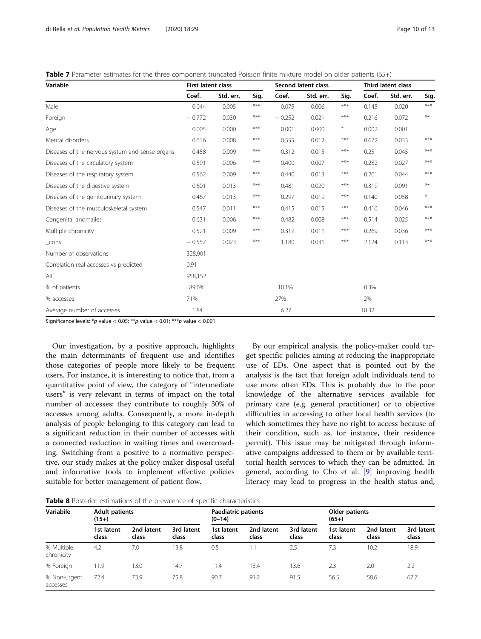<span id="page-9-0"></span>

| Table 7 Parameter estimates for the three component truncated Poisson finite mixture model on older patients (65+) |  |
|--------------------------------------------------------------------------------------------------------------------|--|
|--------------------------------------------------------------------------------------------------------------------|--|

| Variable                                        | <b>First latent class</b> |           |       | Second latent class |           |        | <b>Third latent class</b> |           |        |
|-------------------------------------------------|---------------------------|-----------|-------|---------------------|-----------|--------|---------------------------|-----------|--------|
|                                                 | Coef.                     | Std. err. | Sig.  | Coef.               | Std. err. | Sig.   | Coef.                     | Std. err. | Sig.   |
| Male                                            | 0.044                     | 0.005     | $***$ | 0.075               | 0.006     | $***$  | 0.145                     | 0.020     | ***    |
| Foreign                                         | $-0.772$                  | 0.030     | $***$ | $-0.252$            | 0.021     | ***    | 0.216                     | 0.072     | **     |
| Age                                             | 0.005                     | 0.000     | $***$ | 0.001               | 0.000     | $\ast$ | 0.002                     | 0.001     |        |
| Mental disorders                                | 0.616                     | 0.008     | ***   | 0.555               | 0.012     | $***$  | 0.672                     | 0.033     | ***    |
| Diseases of the nervous system and sense organs | 0.458                     | 0.009     | $***$ | 0.312               | 0.015     | $***$  | 0.251                     | 0.045     | $***$  |
| Diseases of the circulatory system              | 0.591                     | 0.006     | $***$ | 0.400               | 0.007     | ***    | 0.282                     | 0.027     | ***    |
| Diseases of the respiratory system              | 0.562                     | 0.009     | $***$ | 0.440               | 0.013     | $***$  | 0.261                     | 0.044     | ***    |
| Diseases of the digestive system                | 0.601                     | 0.013     | $***$ | 0.481               | 0.020     | ***    | 0.319                     | 0.091     | $***$  |
| Diseases of the genitourinary system            | 0.467                     | 0.013     | $***$ | 0.297               | 0.019     | $***$  | 0.140                     | 0.058     | $\ast$ |
| Diseases of the musculoskeletal system          | 0.547                     | 0.011     | ***   | 0.415               | 0.015     | $***$  | 0.416                     | 0.046     | ***    |
| Congenital anomalies                            | 0.631                     | 0.006     | $***$ | 0.482               | 0.008     | ***    | 0.514                     | 0.025     | ***    |
| Multiple chronicity                             | 0.521                     | 0.009     | $***$ | 0.317               | 0.011     | ***    | 0.269                     | 0.036     | ***    |
| $_{\text{-} \text{cons}}$                       | $-0.557$                  | 0.023     | $***$ | 1.180               | 0.031     | $***$  | 2.124                     | 0.113     | ***    |
| Number of observations                          | 328,901                   |           |       |                     |           |        |                           |           |        |
| Correlation real accesses vs predicted          | 0.91                      |           |       |                     |           |        |                           |           |        |
| AIC                                             | 958,152                   |           |       |                     |           |        |                           |           |        |
| % of patients                                   | 89.6%                     |           |       | 10.1%               |           |        | 0.3%                      |           |        |
| % accesses                                      | 71%                       |           |       | 27%                 |           |        | 2%                        |           |        |
| Average number of accesses                      | 1.84                      |           |       | 6.27                |           |        | 18.32                     |           |        |

Significance levels: \*p value < 0.05; \*\*p value < 0.01; \*\*\*p value < 0.001

Our investigation, by a positive approach, highlights the main determinants of frequent use and identifies those categories of people more likely to be frequent users. For instance, it is interesting to notice that, from a quantitative point of view, the category of "intermediate users" is very relevant in terms of impact on the total number of accesses: they contribute to roughly 30% of accesses among adults. Consequently, a more in-depth analysis of people belonging to this category can lead to a significant reduction in their number of accesses with a connected reduction in waiting times and overcrowding. Switching from a positive to a normative perspective, our study makes at the policy-maker disposal useful and informative tools to implement effective policies suitable for better management of patient flow.

By our empirical analysis, the policy-maker could target specific policies aiming at reducing the inappropriate use of EDs. One aspect that is pointed out by the analysis is the fact that foreign adult individuals tend to use more often EDs. This is probably due to the poor knowledge of the alternative services available for primary care (e.g. general practitioner) or to objective difficulties in accessing to other local health services (to which sometimes they have no right to access because of their condition, such as, for instance, their residence permit). This issue may be mitigated through informative campaigns addressed to them or by available territorial health services to which they can be admitted. In general, according to Cho et al. [[9\]](#page-11-0) improving health literacy may lead to progress in the health status and,

**Table 8** Posterior estimations of the prevalence of specific characteristics

| Variabile                | <b>Adult patients</b><br>$(15+)$ |                     |                     | Paediatric patients<br>$(0-14)$ |                     |                     | Older patients<br>$(65+)$ |                     |                     |
|--------------------------|----------------------------------|---------------------|---------------------|---------------------------------|---------------------|---------------------|---------------------------|---------------------|---------------------|
|                          | 1st latent<br>class              | 2nd latent<br>class | 3rd latent<br>class | 1st latent<br>class             | 2nd latent<br>class | 3rd latent<br>class | 1st latent<br>class       | 2nd latent<br>class | 3rd latent<br>class |
| % Multiple<br>chronicity | 4.2                              | 7.0                 | 13.8                | 0.5                             | 1.1                 | 2.5                 | 7.3                       | 10.2                | 18.9                |
| % Foreign                | 11.9                             | 13.0                | 14.7                | 11.4                            | 13.4                | 13.6                | 2.3                       | 2.0                 | 2.2                 |
| % Non-urgent<br>accesses | 72.4                             | 73.9                | 75.8                | 90.7                            | 91.2                | 91.5                | 56.5                      | 58.6                | 67.7                |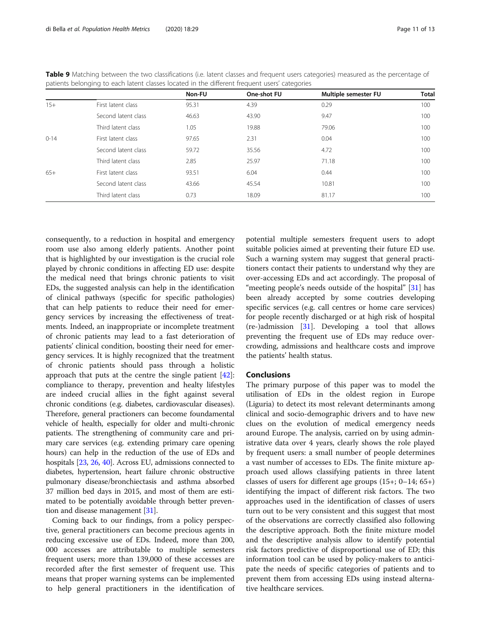|                 |                     | Non-FU | One-shot FU | Multiple semester FU | <b>Total</b> |
|-----------------|---------------------|--------|-------------|----------------------|--------------|
| $15+$<br>$0-14$ | First latent class  | 95.31  | 4.39        | 0.29                 | 100          |
|                 | Second latent class | 46.63  | 43.90       | 9.47                 | 100          |
|                 | Third latent class  | 1.05   | 19.88       | 79.06                | 100          |
|                 | First latent class  | 97.65  | 2.31        | 0.04                 | 100          |
|                 | Second latent class | 59.72  | 35.56       | 4.72                 | 100          |
|                 | Third latent class  | 2.85   | 25.97       | 71.18                | 100          |
| $65+$           | First latent class  | 93.51  | 6.04        | 0.44                 | 100          |
|                 | Second latent class | 43.66  | 45.54       | 10.81                | 100          |
|                 | Third latent class  | 0.73   | 18.09       | 81.17                | 100          |

<span id="page-10-0"></span>Table 9 Matching between the two classifications (i.e. latent classes and frequent users categories) measured as the percentage of patients belonging to each latent classes located in the different frequent users' categories

consequently, to a reduction in hospital and emergency room use also among elderly patients. Another point that is highlighted by our investigation is the crucial role played by chronic conditions in affecting ED use: despite the medical need that brings chronic patients to visit EDs, the suggested analysis can help in the identification of clinical pathways (specific for specific pathologies) that can help patients to reduce their need for emergency services by increasing the effectiveness of treatments. Indeed, an inappropriate or incomplete treatment of chronic patients may lead to a fast deterioration of patients' clinical condition, boosting their need for emergency services. It is highly recognized that the treatment of chronic patients should pass through a holistic approach that puts at the centre the single patient [\[42](#page-12-0)]: compliance to therapy, prevention and healty lifestyles are indeed crucial allies in the fight against several chronic conditions (e.g. diabetes, cardiovascular diseases). Therefore, general practioners can become foundamental vehicle of health, especially for older and multi-chronic patients. The strengthening of community care and primary care services (e.g. extending primary care opening hours) can help in the reduction of the use of EDs and hospitals [[23](#page-11-0), [26,](#page-11-0) [40](#page-12-0)]. Across EU, admissions connected to diabetes, hypertension, heart failure chronic obstructive pulmonary disease/bronchiectasis and asthma absorbed 37 million bed days in 2015, and most of them are estimated to be potentially avoidable through better prevention and disease management [[31](#page-11-0)].

Coming back to our findings, from a policy perspective, general practitioners can become precious agents in reducing excessive use of EDs. Indeed, more than 200, 000 accesses are attributable to multiple semesters frequent users; more than 139,000 of these accesses are recorded after the first semester of frequent use. This means that proper warning systems can be implemented to help general practitioners in the identification of potential multiple semesters frequent users to adopt suitable policies aimed at preventing their future ED use. Such a warning system may suggest that general practitioners contact their patients to understand why they are over-accessing EDs and act accordingly. The proposal of "meeting people's needs outside of the hospital" [[31\]](#page-11-0) has been already accepted by some coutries developing specific services (e.g. call centres or home care services) for people recently discharged or at high risk of hospital (re-)admission [\[31\]](#page-11-0). Developing a tool that allows preventing the frequent use of EDs may reduce overcrowding, admissions and healthcare costs and improve the patients' health status.

#### Conclusions

The primary purpose of this paper was to model the utilisation of EDs in the oldest region in Europe (Liguria) to detect its most relevant determinants among clinical and socio-demographic drivers and to have new clues on the evolution of medical emergency needs around Europe. The analysis, carried on by using administrative data over 4 years, clearly shows the role played by frequent users: a small number of people determines a vast number of accesses to EDs. The finite mixture approach used allows classifying patients in three latent classes of users for different age groups (15+; 0–14; 65+) identifying the impact of different risk factors. The two approaches used in the identification of classes of users turn out to be very consistent and this suggest that most of the observations are correctly classified also following the descriptive approach. Both the finite mixture model and the descriptive analysis allow to identify potential risk factors predictive of disproportional use of ED; this information tool can be used by policy-makers to anticipate the needs of specific categories of patients and to prevent them from accessing EDs using instead alternative healthcare services.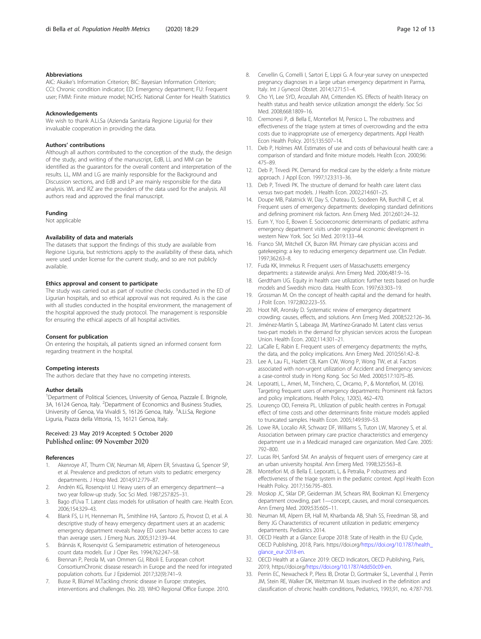#### <span id="page-11-0"></span>Abbreviations

AIC: Akaike's Information Criterion; BIC: Bayesian Information Criterion; CCI: Chronic condition indicator; ED: Emergency department; FU: Frequent user; FMM: Finite mixture model; NCHS: National Center for Health Statistics

Acknowledgements

We wish to thank A.Li.Sa (Azienda Sanitaria Regione Liguria) for their invaluable cooperation in providing the data.

#### Authors' contributions

Although all authors contributed to the conception of the study, the design of the study, and writing of the manuscript, EdB, LL and MM can be identified as the guarantors for the overall content and interpretation of the results. LL, MM and LG are mainly responsible for the Background and Discussion sections, and EdB and LP are mainly responsible for the data analysis. WL and RZ are the providers of the data used for the analysis. All authors read and approved the final manuscript.

#### Funding

Not applicable

#### Availability of data and materials

The datasets that support the findings of this study are available from Regione Liguria, but restrictions apply to the availability of these data, which were used under license for the current study, and so are not publicly available.

#### Ethics approval and consent to participate

The study was carried out as part of routine checks conducted in the ED of Ligurian hospitals, and so ethical approval was not required. As is the case with all studies conducted in the hospital environment, the management of the hospital approved the study protocol. The management is responsible for ensuring the ethical aspects of all hospital activities.

#### Consent for publication

On entering the hospitals, all patients signed an informed consent form regarding treatment in the hospital.

#### Competing interests

The authors declare that they have no competing interests.

#### Author details

<sup>1</sup>Department of Political Sciences, University of Genoa, Piazzale E. Brignole, 3A, 16124 Genoa, Italy. <sup>2</sup>Department of Economics and Business Studies, University of Genoa, Via Vivaldi 5, 16126 Genoa, Italy. <sup>3</sup>A.Li.Sa, Regione Liguria, Piazza della Vittoria, 15, 16121 Genoa, Italy.

#### Received: 23 May 2019 Accepted: 5 October 2020 Published online: 09 November 2020

#### References

- 1. Akenroye AT, Thurm CW, Neuman MI, Alpern ER, Srivastava G, Spencer SP, et al. Prevalence and predictors of return visits to pediatric emergency departments. J Hosp Med. 2014;912:779–87.
- 2. Andrén KG, Rosenqvist U. Heavy users of an emergency department—a two year follow-up study. Soc Sci Med. 1987;257:825–31.
- 3. Bago d'Uva T. Latent class models for utilisation of health care. Health Econ. 2006;154:329–43.
- 4. Blank FS, Li H, Henneman PL, Smithline HA, Santoro JS, Provost D, et al. A descriptive study of heavy emergency department users at an academic emergency department reveals heavy ED users have better access to care than average users. J Emerg Nurs. 2005;312:139–44.
- 5. Brännäs K, Rosenqvist G. Semiparametric estimation of heterogeneous count data models. Eur J Oper Res. 1994;762:247–58.
- 6. Brennan P, Perola M, van Ommen GJ, Riboli E. European cohort ConsortiumChronic disease research in Europe and the need for integrated population cohorts. Eur J Epidemiol. 2017;32(9):741–9.
- 7. Busse R, Blümel M.Tackling chronic disease in Europe: strategies, interventions and challenges. (No. 20). WHO Regional Office Europe. 2010.
- 8. Cervellin G, Comelli I, Sartori E, Lippi G. A four-year survey on unexpected pregnancy diagnoses in a large urban emergency department in Parma, Italy. Int J Gynecol Obstet. 2014;1271:51–4.
- 9. Cho YI, Lee SYD, Arozullah AM, Crittenden KS. Effects of health literacy on health status and health service utilization amongst the elderly. Soc Sci Med. 2008;668:1809–16.
- 10. Cremonesi P, di Bella E, Montefiori M, Persico L. The robustness and effectiveness of the triage system at times of overcrowding and the extra costs due to inappropriate use of emergency departments. Appl Health Econ Health Policy. 2015;135:507–14.
- 11. Deb P, Holmes AM. Estimates of use and costs of behavioural health care: a comparison of standard and finite mixture models. Health Econ. 2000;96: 475–89.
- 12. Deb P, Trivedi PK. Demand for medical care by the elderly: a finite mixture approach. J Appl Econ. 1997;123:313–36.
- 13. Deb P, Trivedi PK. The structure of demand for health care: latent class versus two-part models. J Health Econ. 2002;214:601–25.
- 14. Doupe MB, Palatnick W, Day S, Chateau D, Soodeen RA, Burchill C, et al. Frequent users of emergency departments: developing standard definitions and defining prominent risk factors. Ann Emerg Med. 2012;601:24–32.
- 15. Eum Y, Yoo E, Bowen E. Socioeconomic determinants of pediatric asthma emergency department visits under regional economic development in western New York. Soc Sci Med. 2019:133–44.
- 16. Franco SM, Mitchell CK, Buzon RM. Primary care physician access and gatekeeping: a key to reducing emergency department use. Clin Pediatr. 1997;362:63–8.
- 17. Fuda KK, Immekus R. Frequent users of Massachusetts emergency departments: a statewide analysi. Ann Emerg Med. 2006;481:9–16.
- 18. Gerdtham UG. Equity in health care utilization: further tests based on hurdle models and Swedish micro data. Health Econ. 1997;63:303–19.
- 19. Grossman M. On the concept of health capital and the demand for health. J Polit Econ. 1972;802:223–55.
- 20. Hoot NR, Aronsky D. Systematic review of emergency department crowding: causes, effects, and solutions. Ann Emerg Med. 2008;522:126–36.
- 21. Jiménez-Martín S, Labeaga JM, Martínez-Granado M. Latent class versus two-part models in the demand for physician services across the European Union. Health Econ. 2002;114:301–21.
- 22. LaCalle E, Rabin E. Frequent users of emergency departments: the myths, the data, and the policy implications. Ann Emerg Med. 2010;561:42–8.
- 23. Lee A, Lau FL, Hazlett CB, Kam CW, Wong P, Wong TW, et al. Factors associated with non-urgent utilization of Accident and Emergency services: a case-control study in Hong Kong. Soc Sci Med. 2000;517:1075–85.
- 24. Leporatti, L., Ameri, M., Trinchero, C., Orcamo, P., & Montefiori, M. (2016). Targeting frequent users of emergency departments: Prominent risk factors and policy implications. Health Policy, 120(5), 462–470.
- 25. Lourenço OD, Ferreira PL. Utilization of public health centres in Portugal: effect of time costs and other determinants finite mixture models applied to truncated samples. Health Econ. 2005;149:939–53.
- 26. Lowe RA, Localio AR, Schwarz DF, Williams S, Tuton LW, Maroney S, et al. Association between primary care practice characteristics and emergency department use in a Medicaid managed care organization. Med Care. 2005: 792–800.
- 27. Lucas RH, Sanford SM. An analysis of frequent users of emergency care at an urban university hospital. Ann Emerg Med. 1998;325:563–8.
- 28. Montefiori M, di Bella E. Leporatti, L, & Petralia, P robustness and effectiveness of the triage system in the pediatric context. Appl Health Econ Health Policy. 2017;156:795–803.
- 29. Moskop JC, Sklar DP, Geiderman JM, Schears RM, Bookman KJ. Emergency department crowding, part 1—concept, causes, and moral consequences. Ann Emerg Med. 2009;535:605–11.
- 30. Neuman MI, Alpern ER, Hall M, Kharbanda AB, Shah SS, Freedman SB, and Berry JG Characteristics of recurrent utilization in pediatric emergency departments. Pediatrics 2014.
- 31. OECD Health at a Glance: Europe 2018: State of Health in the EU Cycle, OECD Publishing, 2018, Paris. https://doi.org/[https://doi.org/10.1787/health\\_](https://doi.org/10.1787/health_glance_eur-2018-en) [glance\\_eur-2018-en](https://doi.org/10.1787/health_glance_eur-2018-en).
- 32. OECD Health at a Glance 2019: OECD Indicators, OECD Publishing, Paris, 2019, https://doi.org/<https://doi.org/10.1787/4dd50c09-en>.
- 33. Perrin EC, Newacheck P, Pless IB, Drotar D, Gortmaker SL, Leventhal J, Perrin JM, Stein RE, Walker DK, Weitzman M. Issues involved in the definition and classification of chronic health conditions, Pediatrics, 1993,91, no. 4:787-793.